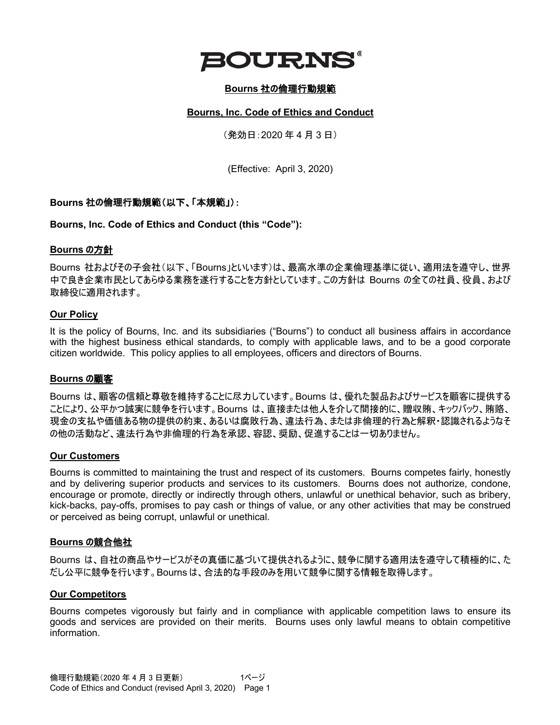

### **Bourns** 社の倫理行動規範

#### **Bourns, Inc. Code of Ethics and Conduct**

(発効日:2020 年 4 月 3 日)

(Effective: April 3, 2020)

#### **Bourns** 社の倫理行動規範(以下、「本規範」):

**Bourns, Inc. Code of Ethics and Conduct (this "Code"):**

#### **Bourns** の方針

Bourns 社およびその子会社(以下、「Bourns」といいます)は、最高水準の企業倫理基準に従い、適用法を遵守し、世界 中で良き企業市民としてあらゆる業務を遂行することを方針としています。この方針は Bourns の全ての社員、役員、および 取締役に適用されます。

#### **Our Policy**

It is the policy of Bourns, Inc. and its subsidiaries ("Bourns") to conduct all business affairs in accordance with the highest business ethical standards, to comply with applicable laws, and to be a good corporate citizen worldwide. This policy applies to all employees, officers and directors of Bourns.

#### **Bourns** の顧客

Bourns は、顧客の信頼と尊敬を維持することに尽力しています。Bourns は、優れた製品およびサービスを顧客に提供する ことにより、公平かつ誠実に競争を行います。Bourns は、直接または他人を介して間接的に、贈収賄、キックバック、賄賂、 現金の支払や価値ある物の提供の約束、あるいは腐敗行為、違法行為、または非倫理的行為と解釈・認識されるようなそ の他の活動など、違法行為や非倫理的行為を承認、容認、奨励、促進することは一切ありません。

#### **Our Customers**

Bourns is committed to maintaining the trust and respect of its customers. Bourns competes fairly, honestly and by delivering superior products and services to its customers. Bourns does not authorize, condone, encourage or promote, directly or indirectly through others, unlawful or unethical behavior, such as bribery, kick-backs, pay-offs, promises to pay cash or things of value, or any other activities that may be construed or perceived as being corrupt, unlawful or unethical.

#### **Bourns** の競合他社

Bourns は、自社の商品やサービスがその真価に基づいて提供されるように、競争に関する適用法を遵守して積極的に、た だし公平に競争を行います。Bourns は、合法的な手段のみを用いて競争に関する情報を取得します。

#### **Our Competitors**

Bourns competes vigorously but fairly and in compliance with applicable competition laws to ensure its goods and services are provided on their merits. Bourns uses only lawful means to obtain competitive information.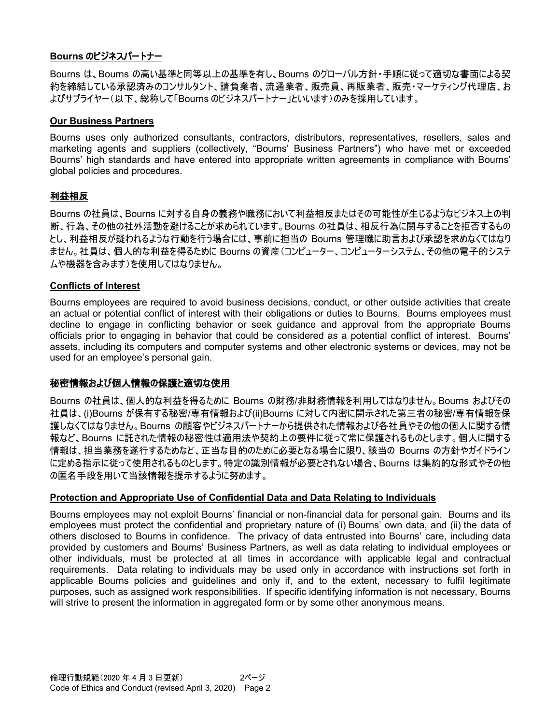### **Bourns** のビジネスパートナー

Bourns は、Bourns の高い基準と同等以上の基準を有し、Bourns のグローバル方針・手順に従って適切な書面による契 約を締結している承認済みのコンサルタント、請負業者、流通業者、販売員、再販業者、販売・マーケティング代理店、お よびサプライヤー(以下、総称して「Bourns のビジネスパートナー」といいます)のみを採用しています。

#### **Our Business Partners**

Bourns uses only authorized consultants, contractors, distributors, representatives, resellers, sales and marketing agents and suppliers (collectively, "Bourns' Business Partners") who have met or exceeded Bourns' high standards and have entered into appropriate written agreements in compliance with Bourns' global policies and procedures.

### 利益相反

Bourns の社員は、Bourns に対する自身の義務や職務において利益相反またはその可能性が生じるようなビジネス上の判 断、行為、その他の社外活動を避けることが求められています。Bourns の社員は、相反行為に関与することを拒否するもの とし、利益相反が疑われるような行動を行う場合には、事前に担当の Bourns 管理職に助言および承認を求めなくてはなり ません。社員は、個人的な利益を得るために Bourns の資産(コンピューター、コンピューターシステム、その他の電子的システ ムや機器を含みます)を使用してはなりません。

#### **Conflicts of Interest**

Bourns employees are required to avoid business decisions, conduct, or other outside activities that create an actual or potential conflict of interest with their obligations or duties to Bourns. Bourns employees must decline to engage in conflicting behavior or seek guidance and approval from the appropriate Bourns officials prior to engaging in behavior that could be considered as a potential conflict of interest. Bourns' assets, including its computers and computer systems and other electronic systems or devices, may not be used for an employee's personal gain.

### 秘密情報および個人情報の保護と適切な使用

Bourns の社員は、個人的な利益を得るために Bourns の財務/非財務情報を利用してはなりません。Bourns およびその 社員は、(i)Bourns が保有する秘密/専有情報および(ii)Bourns に対して内密に開示された第三者の秘密/専有情報を保 護しなくてはなりません。Bourns の顧客やビジネスパートナーから提供された情報および各社員やその他の個人に関する情 報など、Bourns に託された情報の秘密性は適用法や契約上の要件に従って常に保護されるものとします。個人に関する 情報は、担当業務を遂行するためなど、正当な目的のために必要となる場合に限り、該当の Bourns の方針やガイドライン に定める指示に従って使用されるものとします。特定の識別情報が必要とされない場合、Bourns は集約的な形式やその他 の匿名手段を用いて当該情報を提示するように努めます。

#### **Protection and Appropriate Use of Confidential Data and Data Relating to Individuals**

Bourns employees may not exploit Bourns' financial or non-financial data for personal gain. Bourns and its employees must protect the confidential and proprietary nature of (i) Bourns' own data, and (ii) the data of others disclosed to Bourns in confidence. The privacy of data entrusted into Bourns' care, including data provided by customers and Bourns' Business Partners, as well as data relating to individual employees or other individuals, must be protected at all times in accordance with applicable legal and contractual requirements. Data relating to individuals may be used only in accordance with instructions set forth in applicable Bourns policies and guidelines and only if, and to the extent, necessary to fulfil legitimate purposes, such as assigned work responsibilities. If specific identifying information is not necessary, Bourns will strive to present the information in aggregated form or by some other anonymous means.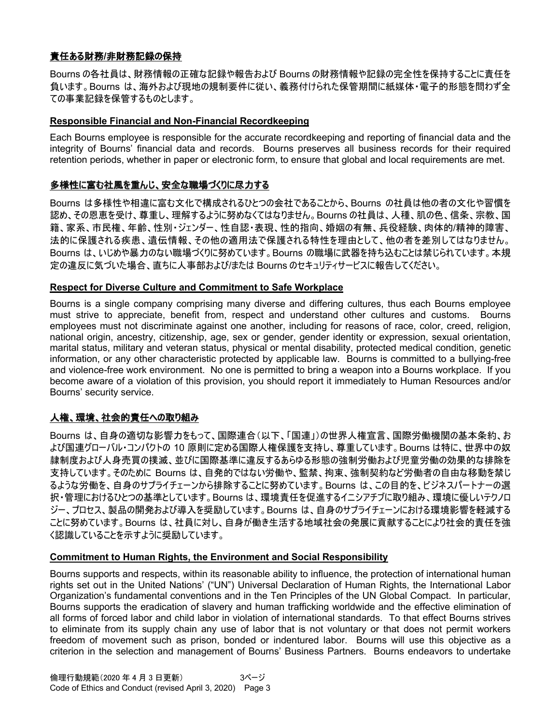# 責任ある財務**/**非財務記録の保持

Bourns の各社員は、財務情報の正確な記録や報告および Bourns の財務情報や記録の完全性を保持することに責任を 負います。Bourns は、海外および現地の規制要件に従い、義務付けられた保管期間に紙媒体・電子的形態を問わず全 ての事業記録を保管するものとします。

#### **Responsible Financial and Non-Financial Recordkeeping**

Each Bourns employee is responsible for the accurate recordkeeping and reporting of financial data and the integrity of Bourns' financial data and records. Bourns preserves all business records for their required retention periods, whether in paper or electronic form, to ensure that global and local requirements are met.

# 多様性に富む社風を重んじ、安全な職場づくりに尽力する

Bourns は多様性や相違に富む文化で構成されるひとつの会社であることから、Bourns の社員は他の者の文化や習慣を 認め、その恩恵を受け、尊重し、理解するように努めなくてはなりません。Bourns の社員は、人種、肌の色、信条、宗教、国 籍、家系、市民権、年齢、性別・ジェンダー、性自認・表現、性的指向、婚姻の有無、兵役経験、肉体的/精神的障害、 法的に保護される疾患、遺伝情報、その他の適用法で保護される特性を理由として、他の者を差別してはなりません。 Bourns は、いじめや暴力のない職場づくりに努めています。Bourns の職場に武器を持ち込むことは禁じられています。本規 定の違反に気づいた場合、直ちに人事部および/または Bourns のセキュリティサービスに報告してください。

#### **Respect for Diverse Culture and Commitment to Safe Workplace**

Bourns is a single company comprising many diverse and differing cultures, thus each Bourns employee must strive to appreciate, benefit from, respect and understand other cultures and customs. Bourns employees must not discriminate against one another, including for reasons of race, color, creed, religion, national origin, ancestry, citizenship, age, sex or gender, gender identity or expression, sexual orientation, marital status, military and veteran status, physical or mental disability, protected medical condition, genetic information, or any other characteristic protected by applicable law. Bourns is committed to a bullying-free and violence-free work environment. No one is permitted to bring a weapon into a Bourns workplace. If you become aware of a violation of this provision, you should report it immediately to Human Resources and/or Bourns' security service.

# 人権、環境、社会的責任への取り組み

Bourns は、自身の適切な影響力をもって、国際連合(以下、「国連」)の世界人権宣言、国際労働機関の基本条約、お よび国連グローバル・コンパクトの 10 原則に定める国際人権保護を支持し、尊重しています。Bourns は特に、世界中の奴 隷制度および人身売買の撲滅、並びに国際基準に違反するあらゆる形態の強制労働および児童労働の効果的な排除を 支持しています。そのために Bourns は、自発的ではない労働や、監禁、拘束、強制契約など労働者の自由な移動を禁じ るような労働を、自身のサプライチェーンから排除することに努めています。Bourns は、この目的を、ビジネスパートナーの選 択・管理におけるひとつの基準としています。Bourns は、環境責任を促進するイニシアチブに取り組み、環境に優しいテクノロ ジー、プロセス、製品の開発および導入を奨励しています。Bourns は、自身のサプライチェーンにおける環境影響を軽減する ことに努めています。Bourns は、社員に対し、自身が働き生活する地域社会の発展に貢献することにより社会的責任を強 く認識していることを示すように奨励しています。

#### **Commitment to Human Rights, the Environment and Social Responsibility**

Bourns supports and respects, within its reasonable ability to influence, the protection of international human rights set out in the United Nations' ("UN") Universal Declaration of Human Rights, the International Labor Organization's fundamental conventions and in the Ten Principles of the UN Global Compact. In particular, Bourns supports the eradication of slavery and human trafficking worldwide and the effective elimination of all forms of forced labor and child labor in violation of international standards. To that effect Bourns strives to eliminate from its supply chain any use of labor that is not voluntary or that does not permit workers freedom of movement such as prison, bonded or indentured labor. Bourns will use this objective as a criterion in the selection and management of Bourns' Business Partners. Bourns endeavors to undertake